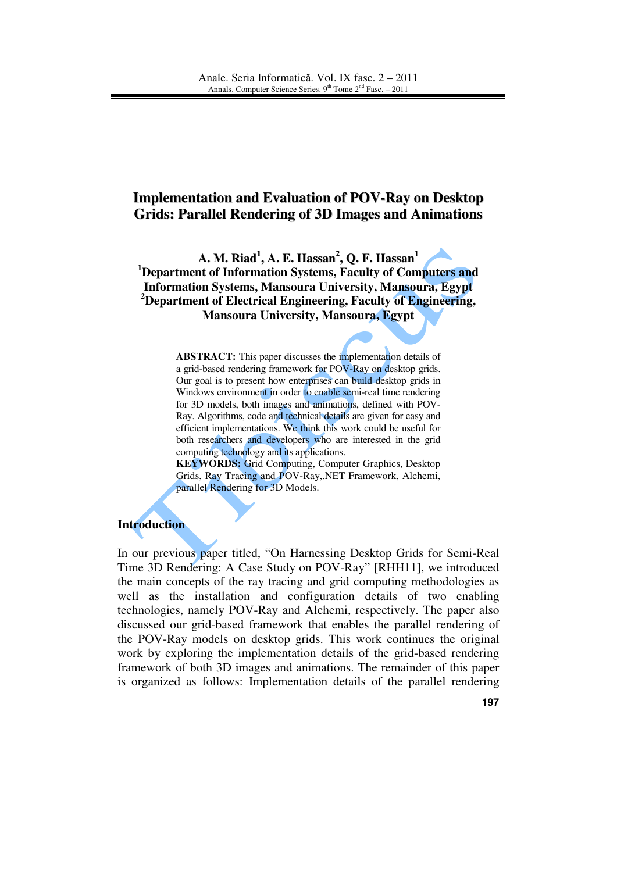# **Implementation and Evaluation of POV-Ray on Desktop Grids: Parallel Rendering of 3D Images and Animations**

**A. M. Riad 1 , A. E. Hassan 2 , Q. F. Hassan 1 <sup>1</sup>Department of Information Systems, Faculty of Computers and Information Systems, Mansoura University, Mansoura, Egypt <sup>2</sup>Department of Electrical Engineering, Faculty of Engineering, Mansoura University, Mansoura, Egypt** 

> **ABSTRACT:** This paper discusses the implementation details of a grid-based rendering framework for POV-Ray on desktop grids. Our goal is to present how enterprises can build desktop grids in Windows environment in order to enable semi-real time rendering for 3D models, both images and animations, defined with POV-Ray. Algorithms, code and technical details are given for easy and efficient implementations. We think this work could be useful for both researchers and developers who are interested in the grid computing technology and its applications.

> **KEYWORDS:** Grid Computing, Computer Graphics, Desktop Grids, Ray Tracing and POV-Ray,.NET Framework, Alchemi, parallel Rendering for 3D Models.

### **Introduction**

In our previous paper titled, "On Harnessing Desktop Grids for Semi-Real Time 3D Rendering: A Case Study on POV-Ray" [RHH11], we introduced the main concepts of the ray tracing and grid computing methodologies as well as the installation and configuration details of two enabling technologies, namely POV-Ray and Alchemi, respectively. The paper also discussed our grid-based framework that enables the parallel rendering of the POV-Ray models on desktop grids. This work continues the original work by exploring the implementation details of the grid-based rendering framework of both 3D images and animations. The remainder of this paper is organized as follows: Implementation details of the parallel rendering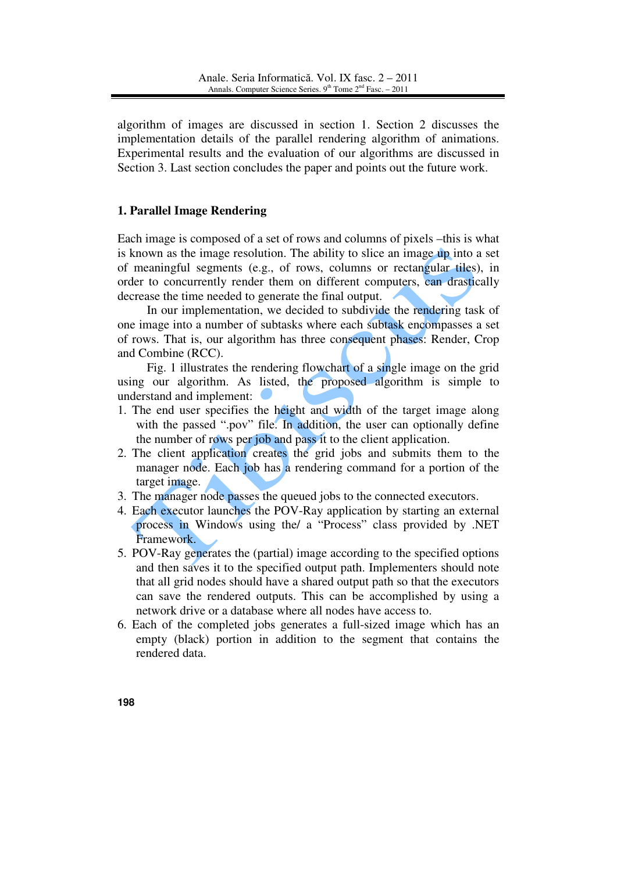algorithm of images are discussed in section 1. Section 2 discusses the implementation details of the parallel rendering algorithm of animations. Experimental results and the evaluation of our algorithms are discussed in Section 3. Last section concludes the paper and points out the future work.

## **1. Parallel Image Rendering**

Each image is composed of a set of rows and columns of pixels –this is what is known as the image resolution. The ability to slice an image up into a set of meaningful segments (e.g., of rows, columns or rectangular tiles), in order to concurrently render them on different computers, can drastically decrease the time needed to generate the final output.

 In our implementation, we decided to subdivide the rendering task of one image into a number of subtasks where each subtask encompasses a set of rows. That is, our algorithm has three consequent phases: Render, Crop and Combine (RCC).

 Fig. 1 illustrates the rendering flowchart of a single image on the grid using our algorithm. As listed, the proposed algorithm is simple to understand and implement:

- 1. The end user specifies the height and width of the target image along with the passed ".pov" file. In addition, the user can optionally define the number of rows per job and pass it to the client application.
- 2. The client application creates the grid jobs and submits them to the manager node. Each job has a rendering command for a portion of the target image.
- 3. The manager node passes the queued jobs to the connected executors.
- 4. Each executor launches the POV-Ray application by starting an external process in Windows using the/ a "Process" class provided by .NET Framework.
- 5. POV-Ray generates the (partial) image according to the specified options and then saves it to the specified output path. Implementers should note that all grid nodes should have a shared output path so that the executors can save the rendered outputs. This can be accomplished by using a network drive or a database where all nodes have access to.
- 6. Each of the completed jobs generates a full-sized image which has an empty (black) portion in addition to the segment that contains the rendered data.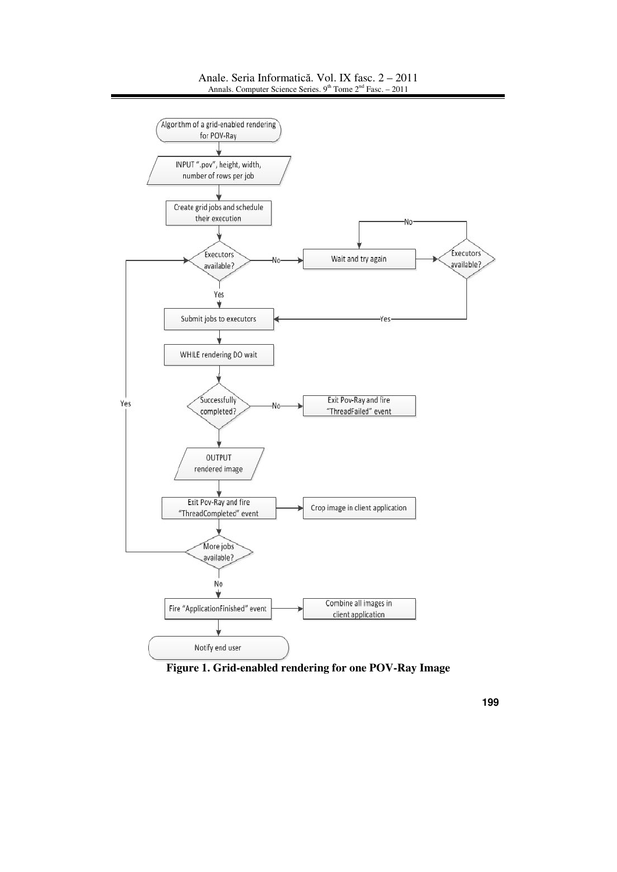

#### Anale. Seria Informatică. Vol. IX fasc. 2 – 2011 Annals. Computer Science Series.  $9<sup>th</sup>$  Tome  $2<sup>nd</sup>$  Fasc. – 2011

**Figure 1. Grid-enabled rendering for one POV-Ray Image**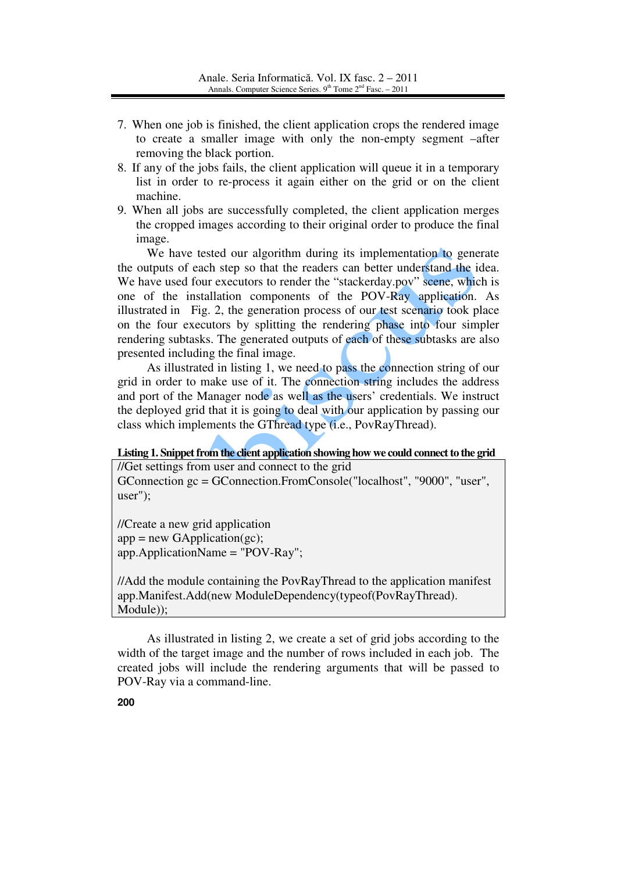- 7. When one job is finished, the client application crops the rendered image to create a smaller image with only the non-empty segment –after removing the black portion.
- 8. If any of the jobs fails, the client application will queue it in a temporary list in order to re-process it again either on the grid or on the client machine.
- 9. When all jobs are successfully completed, the client application merges the cropped images according to their original order to produce the final image.

 We have tested our algorithm during its implementation to generate the outputs of each step so that the readers can better understand the idea. We have used four executors to render the "stackerday.pov" scene, which is one of the installation components of the POV-Ray application. As illustrated in Fig. 2, the generation process of our test scenario took place on the four executors by splitting the rendering phase into four simpler rendering subtasks. The generated outputs of each of these subtasks are also presented including the final image.

 As illustrated in listing 1, we need to pass the connection string of our grid in order to make use of it. The connection string includes the address and port of the Manager node as well as the users' credentials. We instruct the deployed grid that it is going to deal with our application by passing our class which implements the GThread type (i.e., PovRayThread).

# **Listing 1. Snippet from the client application showing how we could connect to the grid**

//Get settings from user and connect to the grid GConnection gc = GConnection.FromConsole("localhost", "9000", "user", user");

//Create a new grid application  $app = new GApplication(gc);$ app.ApplicationName = "POV-Ray";

//Add the module containing the PovRayThread to the application manifest app.Manifest.Add(new ModuleDependency(typeof(PovRayThread). Module));

 As illustrated in listing 2, we create a set of grid jobs according to the width of the target image and the number of rows included in each job. The created jobs will include the rendering arguments that will be passed to POV-Ray via a command-line.

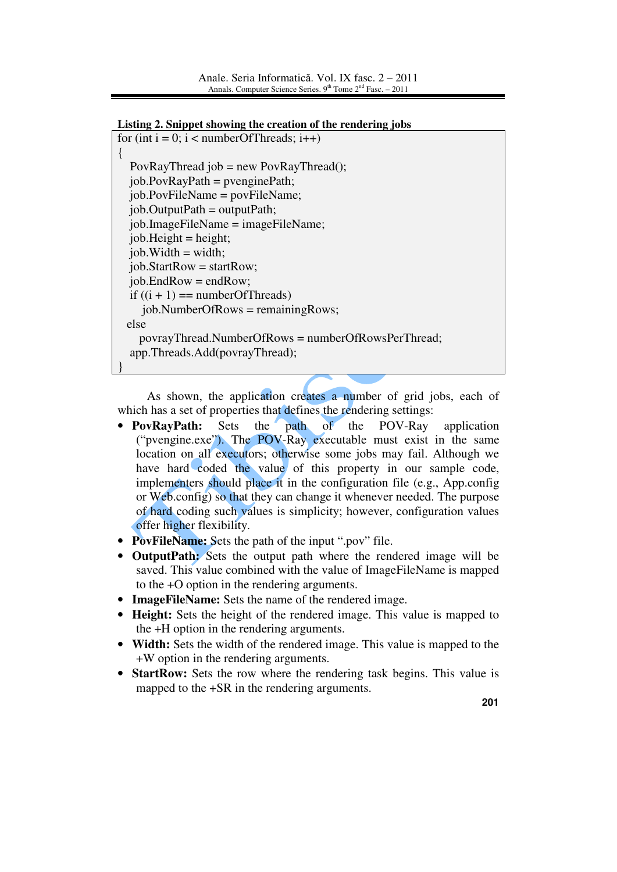```
Listing 2. Snippet showing the creation of the rendering jobs
```

```
for (int i = 0; i < numberOfThreads; i++)
{ 
   PovRayThread job = new PovRayThread(); 
  job.PovRayPath = <i>prenginePath</i>; job.PovFileName = povFileName; 
  job. OutputPath = outputPath; job.ImageFileName = imageFileName; 
  job. Height = height;job. Width = width;job. StartRow = startRow;job. EndRow = endRow;
  if ((i + 1) == numberOfThreads)
     job.NumberOfRows = remainingRows; 
  else 
     povrayThread.NumberOfRows = numberOfRowsPerThread; 
   app.Threads.Add(povrayThread); 
}
```
 As shown, the application creates a number of grid jobs, each of which has a set of properties that defines the rendering settings:

- **PovRayPath:** Sets the path of the POV-Ray application ("pvengine.exe"). The POV-Ray executable must exist in the same location on all executors; otherwise some jobs may fail. Although we have hard coded the value of this property in our sample code, implementers should place it in the configuration file (e.g., App.config or Web.config) so that they can change it whenever needed. The purpose of hard coding such values is simplicity; however, configuration values offer higher flexibility.
- **PovFileName:** Sets the path of the input ".pov" file.
- **OutputPath:** Sets the output path where the rendered image will be saved. This value combined with the value of ImageFileName is mapped to the +O option in the rendering arguments.
- **ImageFileName:** Sets the name of the rendered image.
- **Height:** Sets the height of the rendered image. This value is mapped to the +H option in the rendering arguments.
- **Width:** Sets the width of the rendered image. This value is mapped to the +W option in the rendering arguments.
- **StartRow:** Sets the row where the rendering task begins. This value is mapped to the +SR in the rendering arguments.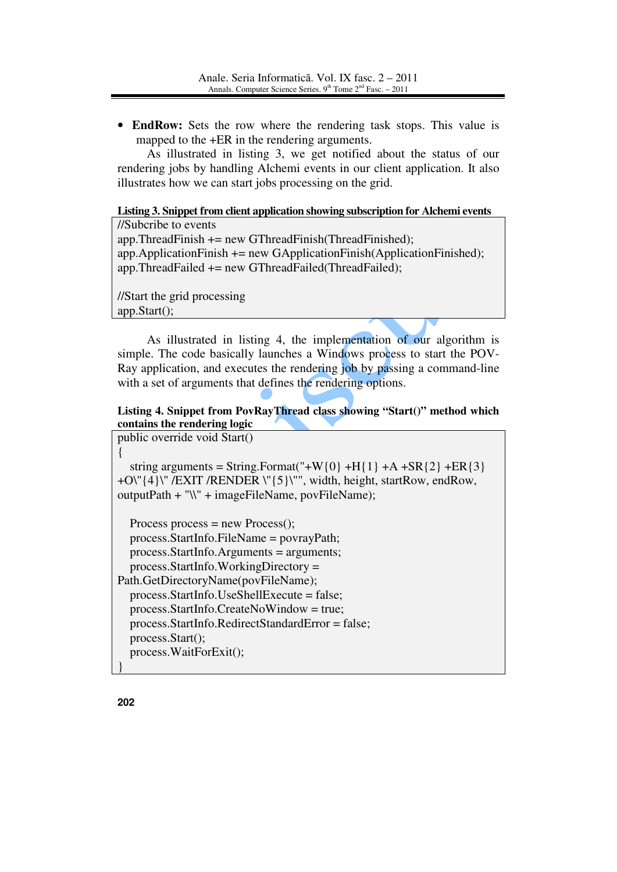• **EndRow:** Sets the row where the rendering task stops. This value is mapped to the +ER in the rendering arguments.

 As illustrated in listing 3, we get notified about the status of our rendering jobs by handling Alchemi events in our client application. It also illustrates how we can start jobs processing on the grid.

### **Listing 3. Snippet from client application showing subscription for Alchemi events**

//Subcribe to events app.ThreadFinish += new GThreadFinish(ThreadFinished);  $app. Application Finnish += new GApplicationFinish(ApplicationFinished);$ app.ThreadFailed += new GThreadFailed(ThreadFailed);

//Start the grid processing app.Start();

 As illustrated in listing 4, the implementation of our algorithm is simple. The code basically launches a Windows process to start the POV-Ray application, and executes the rendering job by passing a command-line with a set of arguments that defines the rendering options.

## **Listing 4. Snippet from PovRayThread class showing "Start()" method which contains the rendering logic**

public override void Start()

{ string arguments = String.Format("+W{0} +H{1} +A +SR{2} +ER{3} +O\"{4}\" /EXIT /RENDER \"{5}\"", width, height, startRow, endRow, outputPath + "\\" + imageFileName, povFileName);

Process process  $=$  new Process $($ ); process.StartInfo.FileName = povrayPath; process.StartInfo.Arguments = arguments; process.StartInfo.WorkingDirectory = Path.GetDirectoryName(povFileName); process.StartInfo.UseShellExecute = false; process.StartInfo.CreateNoWindow = true; process.StartInfo.RedirectStandardError = false; process.Start(); process.WaitForExit(); }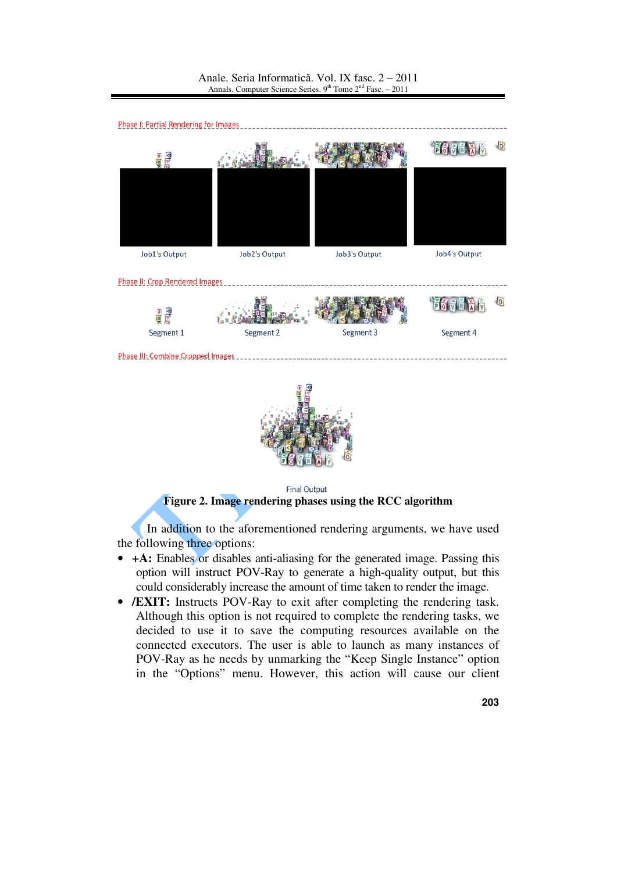



**Final Output Figure 2. Image rendering phases using the RCC algorithm**

 In addition to the aforementioned rendering arguments, we have used the following three options:

- **+A:** Enables or disables anti-aliasing for the generated image. Passing this option will instruct POV-Ray to generate a high-quality output, but this could considerably increase the amount of time taken to render the image.
- **/EXIT:** Instructs POV-Ray to exit after completing the rendering task. Although this option is not required to complete the rendering tasks, we decided to use it to save the computing resources available on the connected executors. The user is able to launch as many instances of POV-Ray as he needs by unmarking the "Keep Single Instance" option in the "Options" menu. However, this action will cause our client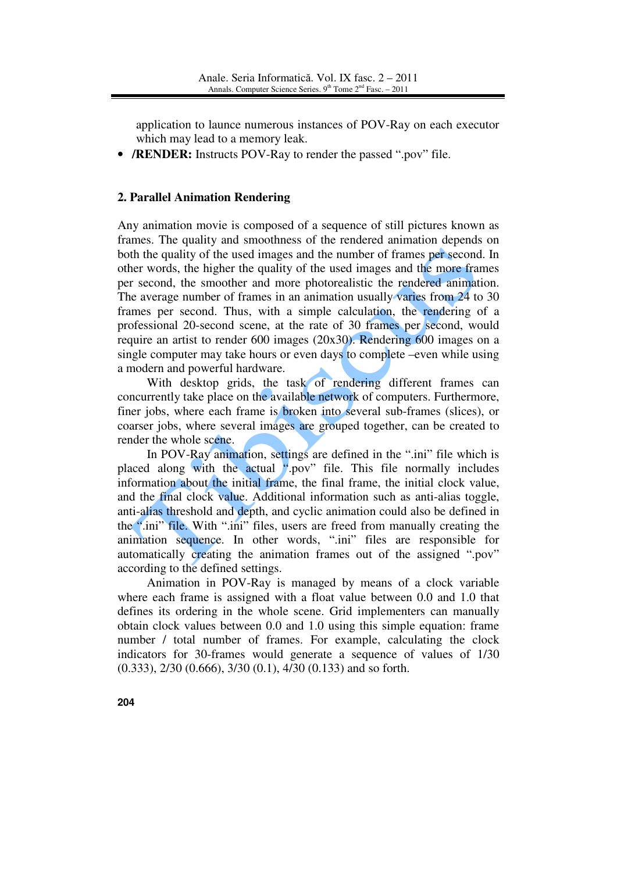application to launce numerous instances of POV-Ray on each executor which may lead to a memory leak.

• **/RENDER:** Instructs POV-Ray to render the passed ".pov" file.

### **2. Parallel Animation Rendering**

Any animation movie is composed of a sequence of still pictures known as frames. The quality and smoothness of the rendered animation depends on both the quality of the used images and the number of frames per second. In other words, the higher the quality of the used images and the more frames per second, the smoother and more photorealistic the rendered animation. The average number of frames in an animation usually varies from 24 to 30 frames per second. Thus, with a simple calculation, the rendering of a professional 20-second scene, at the rate of 30 frames per second, would require an artist to render 600 images (20x30). Rendering 600 images on a single computer may take hours or even days to complete –even while using a modern and powerful hardware.

With desktop grids, the task of rendering different frames can concurrently take place on the available network of computers. Furthermore, finer jobs, where each frame is broken into several sub-frames (slices), or coarser jobs, where several images are grouped together, can be created to render the whole scene.

 In POV-Ray animation, settings are defined in the ".ini" file which is placed along with the actual ".pov" file. This file normally includes information about the initial frame, the final frame, the initial clock value, and the final clock value. Additional information such as anti-alias toggle, anti-alias threshold and depth, and cyclic animation could also be defined in the ".ini" file. With ".ini" files, users are freed from manually creating the animation sequence. In other words, ".ini" files are responsible for automatically creating the animation frames out of the assigned ".pov" according to the defined settings.

 Animation in POV-Ray is managed by means of a clock variable where each frame is assigned with a float value between 0.0 and 1.0 that defines its ordering in the whole scene. Grid implementers can manually obtain clock values between 0.0 and 1.0 using this simple equation: frame number / total number of frames. For example, calculating the clock indicators for 30-frames would generate a sequence of values of 1/30 (0.333), 2/30 (0.666), 3/30 (0.1), 4/30 (0.133) and so forth.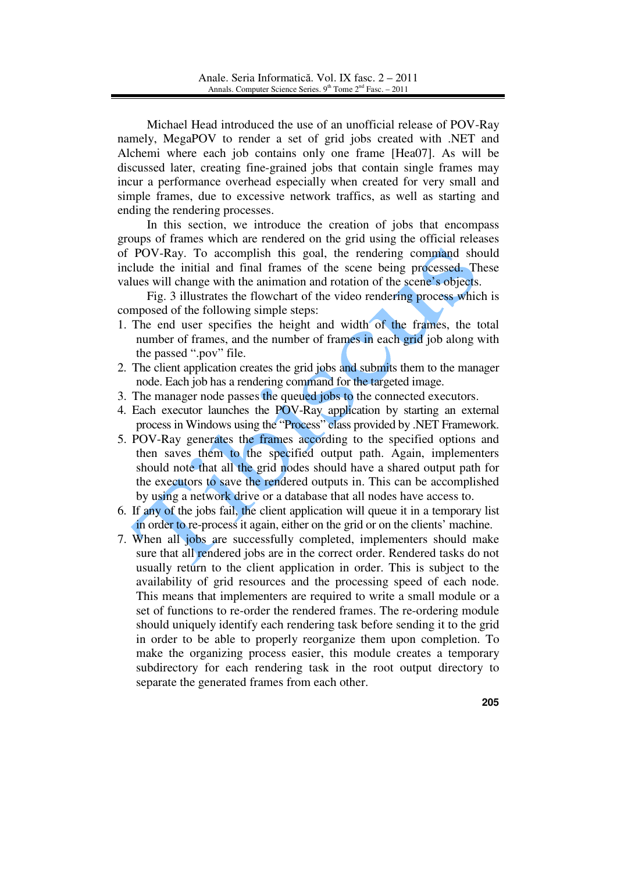Michael Head introduced the use of an unofficial release of POV-Ray namely, MegaPOV to render a set of grid jobs created with .NET and Alchemi where each job contains only one frame [Hea07]. As will be discussed later, creating fine-grained jobs that contain single frames may incur a performance overhead especially when created for very small and simple frames, due to excessive network traffics, as well as starting and ending the rendering processes.

 In this section, we introduce the creation of jobs that encompass groups of frames which are rendered on the grid using the official releases of POV-Ray. To accomplish this goal, the rendering command should include the initial and final frames of the scene being processed. These values will change with the animation and rotation of the scene's objects.

 Fig. 3 illustrates the flowchart of the video rendering process which is composed of the following simple steps:

- 1. The end user specifies the height and width of the frames, the total number of frames, and the number of frames in each grid job along with the passed ".pov" file.
- 2. The client application creates the grid jobs and submits them to the manager node. Each job has a rendering command for the targeted image.
- 3. The manager node passes the queued jobs to the connected executors.
- 4. Each executor launches the POV-Ray application by starting an external process in Windows using the "Process" class provided by .NET Framework.
- 5. POV-Ray generates the frames according to the specified options and then saves them to the specified output path. Again, implementers should note that all the grid nodes should have a shared output path for the executors to save the rendered outputs in. This can be accomplished by using a network drive or a database that all nodes have access to.
- 6. If any of the jobs fail, the client application will queue it in a temporary list in order to re-process it again, either on the grid or on the clients' machine.
- 7. When all jobs are successfully completed, implementers should make sure that all rendered jobs are in the correct order. Rendered tasks do not usually return to the client application in order. This is subject to the availability of grid resources and the processing speed of each node. This means that implementers are required to write a small module or a set of functions to re-order the rendered frames. The re-ordering module should uniquely identify each rendering task before sending it to the grid in order to be able to properly reorganize them upon completion. To make the organizing process easier, this module creates a temporary subdirectory for each rendering task in the root output directory to separate the generated frames from each other.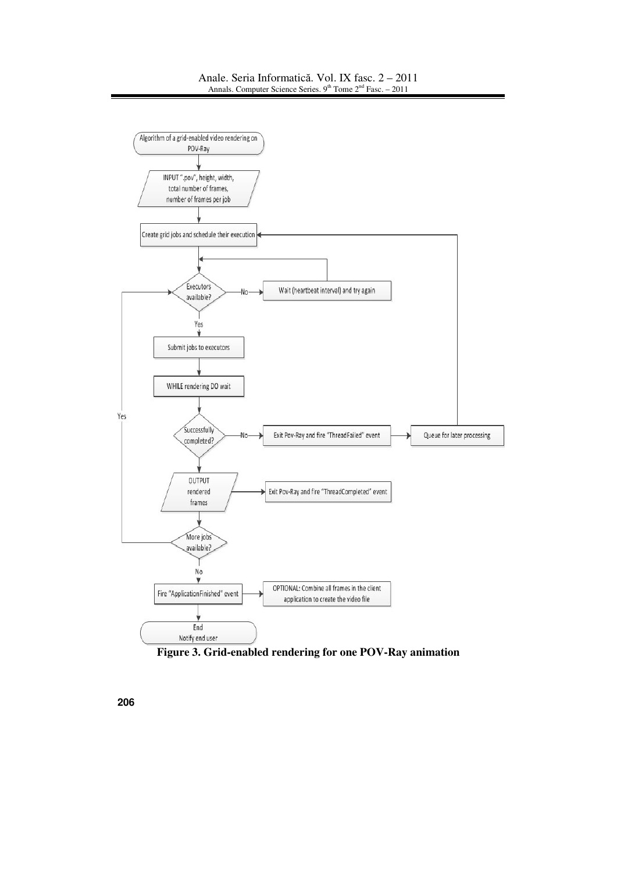#### Anale. Seria Informatică. Vol. IX fasc. 2 – 2011 Annals. Computer Science Series.  $9<sup>th</sup>$  Tome  $2<sup>nd</sup>$  Fasc. – 2011



**Figure 3. Grid-enabled rendering for one POV-Ray animation**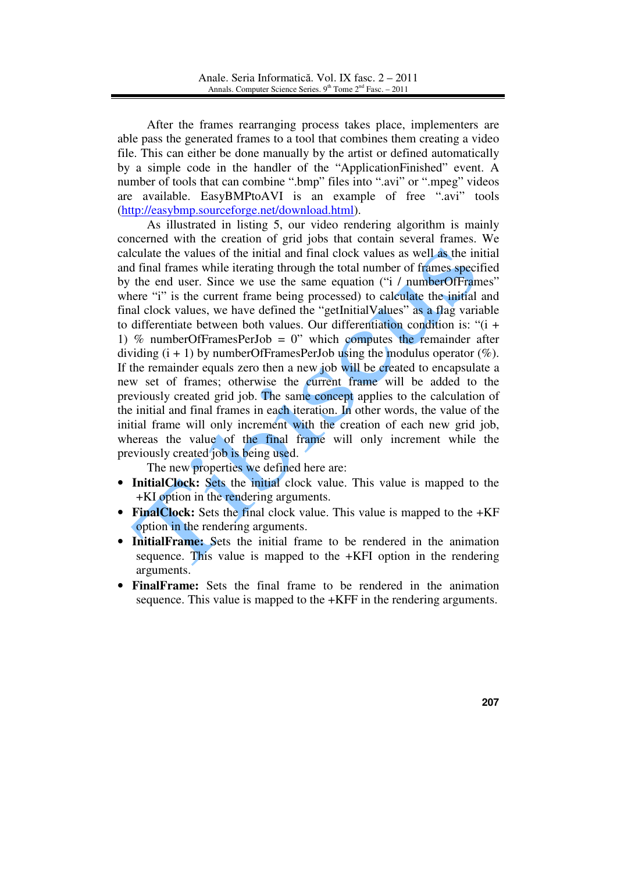After the frames rearranging process takes place, implementers are able pass the generated frames to a tool that combines them creating a video file. This can either be done manually by the artist or defined automatically by a simple code in the handler of the "ApplicationFinished" event. A number of tools that can combine ".bmp" files into ".avi" or ".mpeg" videos are available. EasyBMPtoAVI is an example of free ".avi" tools (http://easybmp.sourceforge.net/download.html).

 As illustrated in listing 5, our video rendering algorithm is mainly concerned with the creation of grid jobs that contain several frames. We calculate the values of the initial and final clock values as well as the initial and final frames while iterating through the total number of frames specified by the end user. Since we use the same equation ("i / numberOfFrames" where "i" is the current frame being processed) to calculate the initial and final clock values, we have defined the "getInitialValues" as a flag variable to differentiate between both values. Our differentiation condition is: "(i + 1) % numberOfFramesPerJob = 0" which computes the remainder after dividing  $(i + 1)$  by numberOfFramesPerJob using the modulus operator  $(\%)$ . If the remainder equals zero then a new job will be created to encapsulate a new set of frames; otherwise the current frame will be added to the previously created grid job. The same concept applies to the calculation of the initial and final frames in each iteration. In other words, the value of the initial frame will only increment with the creation of each new grid job, whereas the value of the final frame will only increment while the previously created job is being used.

The new properties we defined here are:

- **InitialClock:** Sets the initial clock value. This value is mapped to the +KI option in the rendering arguments.
- **FinalClock:** Sets the final clock value. This value is mapped to the  $+KF$ option in the rendering arguments.
- **InitialFrame:** Sets the initial frame to be rendered in the animation sequence. This value is mapped to the +KFI option in the rendering arguments.
- **FinalFrame:** Sets the final frame to be rendered in the animation sequence. This value is mapped to the +KFF in the rendering arguments.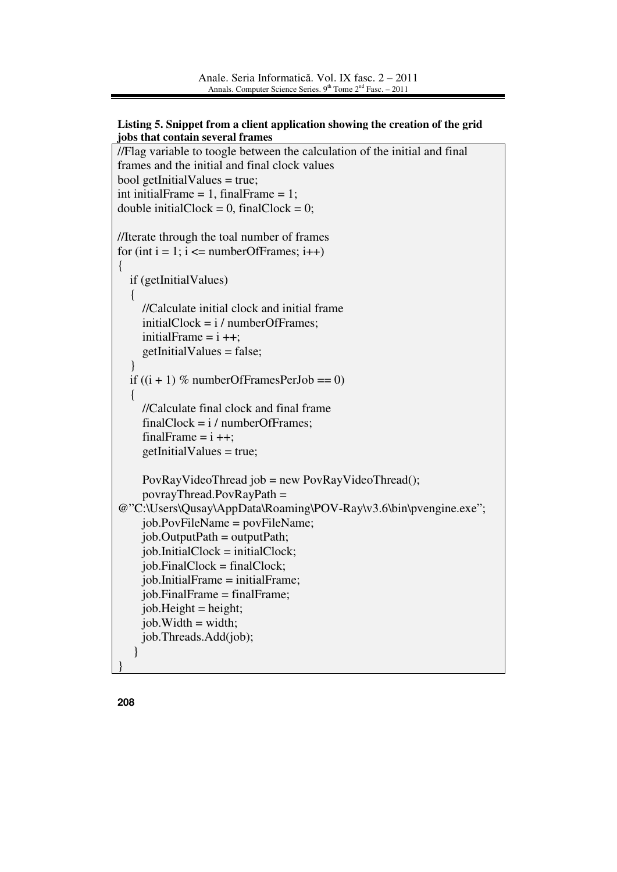### **Listing 5. Snippet from a client application showing the creation of the grid jobs that contain several frames**

```
//Flag variable to toogle between the calculation of the initial and final
frames and the initial and final clock values 
bool getInitialValues = true:
int initialFrame = 1, finalFrame = 1;
double initialClock = 0, finalClock = 0;
//Iterate through the toal number of frames 
for (int i = 1; i \le numberOfFrames; i++)
{ 
   if (getInitialValues) 
   { 
     //Calculate initial clock and initial frame 
     initialClock = i / numberOfframes;initialFrame = i ++:
     getInitialValues = false; } 
  if ((i + 1) % numberOfFramesPerJob == 0)
   { 
      //Calculate final clock and final frame 
     finalClock = i / numberOf Frames;finalFrame = i ++;
     getInitialValues = true; PovRayVideoThread job = new PovRayVideoThread(); 
      povrayThread.PovRayPath = 
@"C:\Users\Qusay\AppData\Roaming\POV-Ray\v3.6\bin\pvengine.exe"; 
     job.PovFileName = povFileName; 
    job. OutputPath = outputPath; job.InitialClock = initialClock; 
    job. FinalClock = finalClock; job.InitialFrame = initialFrame; 
     job.FinalFrame = finalFrame; 
    job.Height = height;job. Width = width; job.Threads.Add(job); 
    } 
}
```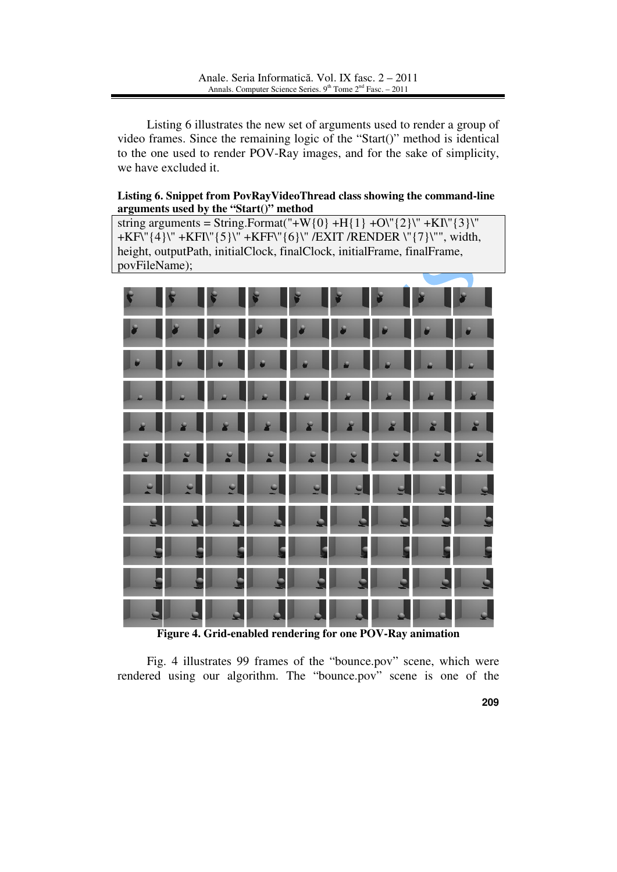Listing 6 illustrates the new set of arguments used to render a group of video frames. Since the remaining logic of the "Start()" method is identical to the one used to render POV-Ray images, and for the sake of simplicity, we have excluded it.

### **Listing 6. Snippet from PovRayVideoThread class showing the command-line arguments used by the "Start()" method**

string arguments = String.Format("+W{0} +H{1} +O\"{2}\" +KI\"{3}\" +KF\"{4}\" +KFI\"{5}\" +KFF\"{6}\" /EXIT /RENDER \"{7}\"", width, height, outputPath, initialClock, finalClock, initialFrame, finalFrame, povFileName);



**Figure 4. Grid-enabled rendering for one POV-Ray animation**

 Fig. 4 illustrates 99 frames of the "bounce.pov" scene, which were rendered using our algorithm. The "bounce.pov" scene is one of the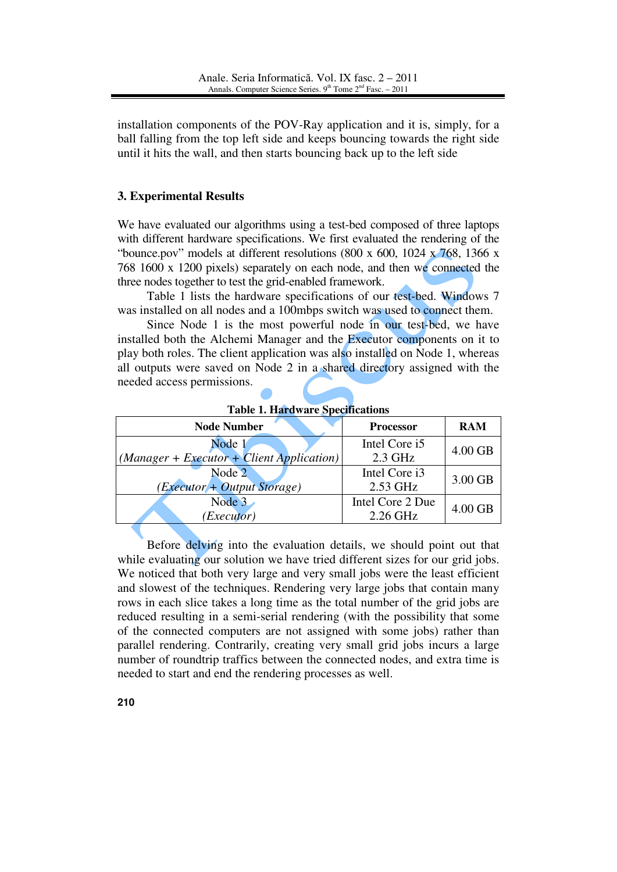installation components of the POV-Ray application and it is, simply, for a ball falling from the top left side and keeps bouncing towards the right side until it hits the wall, and then starts bouncing back up to the left side

# **3. Experimental Results**

We have evaluated our algorithms using a test-bed composed of three laptops with different hardware specifications. We first evaluated the rendering of the "bounce.pov" models at different resolutions (800 x 600, 1024 x  $768$ , 1366 x 768 1600 x 1200 pixels) separately on each node, and then we connected the three nodes together to test the grid-enabled framework.

 Table 1 lists the hardware specifications of our test-bed. Windows 7 was installed on all nodes and a 100mbps switch was used to connect them.

 Since Node 1 is the most powerful node in our test-bed, we have installed both the Alchemi Manager and the Executor components on it to play both roles. The client application was also installed on Node 1, whereas all outputs were saved on Node 2 in a shared directory assigned with the needed access permissions.

| Tuble 1. Har what opposited the                         |                  |            |
|---------------------------------------------------------|------------------|------------|
| <b>Node Number</b>                                      | <b>Processor</b> | <b>RAM</b> |
| Node 1                                                  | Intel Core i5    | 4.00 GB    |
| $\big  (Manager + Executor + Client Application) \big $ | $2.3$ GHz        |            |
| Node 2                                                  | Intel Core i3    | 3.00 GB    |
| (Executor + Output Storage)                             | 2.53 GHz         |            |
| Node 3                                                  | Intel Core 2 Due | $4.00$ GB  |
| (Executor)                                              | 2.26 GHz         |            |

**Table 1. Hardware Specifications** 

 Before delving into the evaluation details, we should point out that while evaluating our solution we have tried different sizes for our grid jobs. We noticed that both very large and very small jobs were the least efficient and slowest of the techniques. Rendering very large jobs that contain many rows in each slice takes a long time as the total number of the grid jobs are reduced resulting in a semi-serial rendering (with the possibility that some of the connected computers are not assigned with some jobs) rather than parallel rendering. Contrarily, creating very small grid jobs incurs a large number of roundtrip traffics between the connected nodes, and extra time is needed to start and end the rendering processes as well.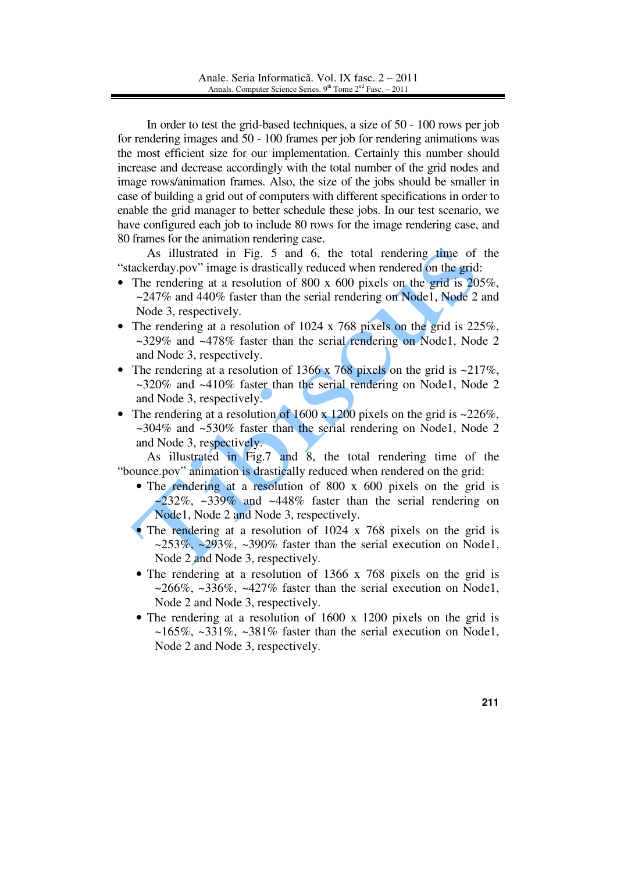In order to test the grid-based techniques, a size of 50 - 100 rows per job for rendering images and 50 - 100 frames per job for rendering animations was the most efficient size for our implementation. Certainly this number should increase and decrease accordingly with the total number of the grid nodes and image rows/animation frames. Also, the size of the jobs should be smaller in case of building a grid out of computers with different specifications in order to enable the grid manager to better schedule these jobs. In our test scenario, we have configured each job to include 80 rows for the image rendering case, and 80 frames for the animation rendering case.

 As illustrated in Fig. 5 and 6, the total rendering time of the "stackerday.pov" image is drastically reduced when rendered on the grid:

- The rendering at a resolution of 800 x 600 pixels on the grid is  $205\%$ .  $\sim$ 247% and 440% faster than the serial rendering on Node1, Node 2 and Node 3, respectively.
- The rendering at a resolution of 1024 x 768 pixels on the grid is 225%, ~329% and ~478% faster than the serial rendering on Node1, Node 2 and Node 3, respectively.
- The rendering at a resolution of 1366 x 768 pixels on the grid is  $\approx 217\%$ , ~320% and ~410% faster than the serial rendering on Node1, Node 2 and Node 3, respectively.
- The rendering at a resolution of 1600 x 1200 pixels on the grid is  $\approx 226\%$ .  $\sim$ 304% and  $\sim$ 530% faster than the serial rendering on Node1, Node 2 and Node 3, respectively.

 As illustrated in Fig.7 and 8, the total rendering time of the "bounce.pov" animation is drastically reduced when rendered on the grid:

- The rendering at a resolution of 800 x 600 pixels on the grid is  $\sim$ 232%,  $\sim$ 339% and  $\sim$ 448% faster than the serial rendering on Node1, Node 2 and Node 3, respectively.
- The rendering at a resolution of 1024 x 768 pixels on the grid is  $\approx 253\%$ ,  $\approx 293\%$ ,  $\approx 390\%$  faster than the serial execution on Node1, Node 2 and Node 3, respectively.
- The rendering at a resolution of 1366 x 768 pixels on the grid is  $\sim$ 266%,  $\sim$ 336%,  $\sim$ 427% faster than the serial execution on Node1, Node 2 and Node 3, respectively.
- The rendering at a resolution of 1600 x 1200 pixels on the grid is  $~165\%$ ,  $~331\%$ ,  $~381\%$  faster than the serial execution on Node1, Node 2 and Node 3, respectively.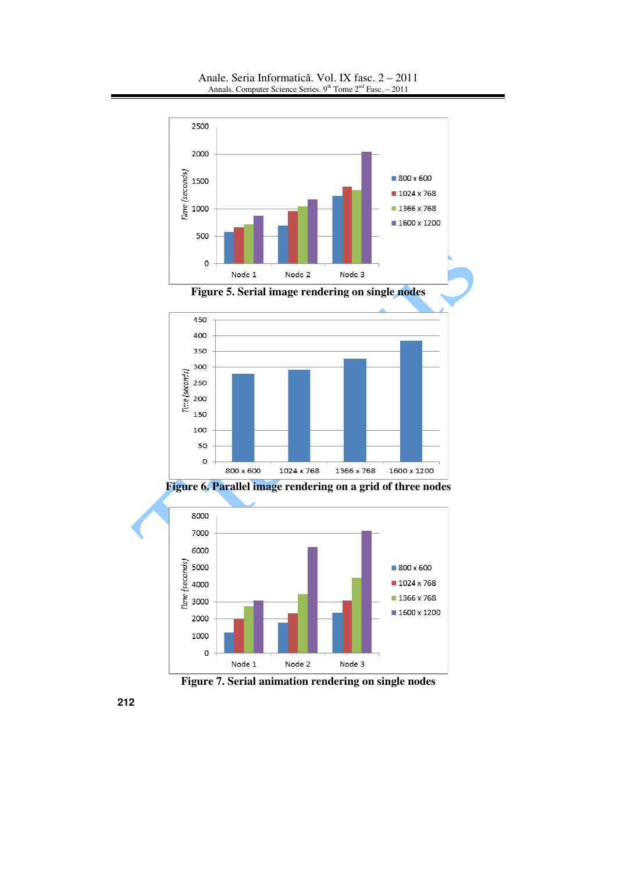



**Figure 7. Serial animation rendering on single nodes**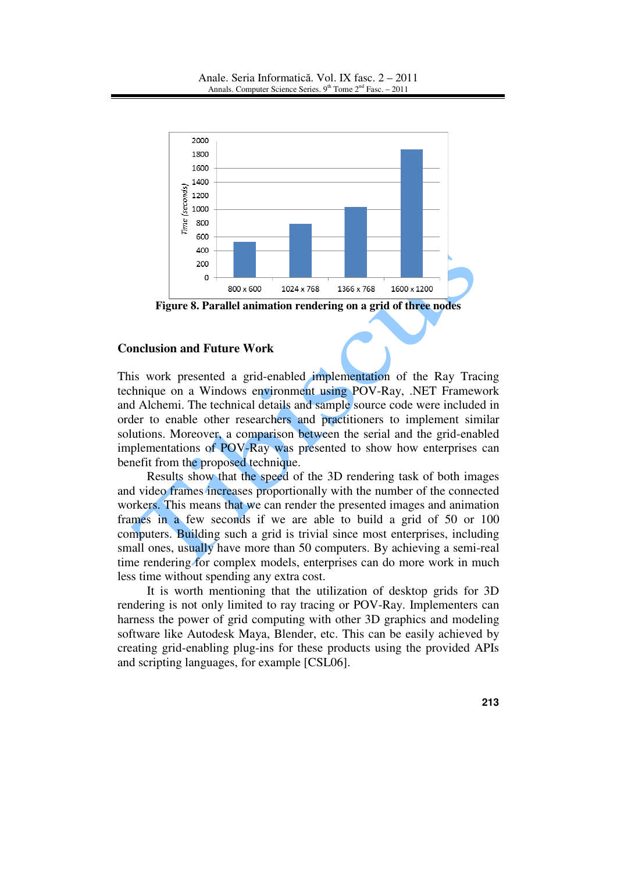

**Figure 8. Parallel animation rendering on a grid of three nodes**

### **Conclusion and Future Work**

This work presented a grid-enabled implementation of the Ray Tracing technique on a Windows environment using POV-Ray, .NET Framework and Alchemi. The technical details and sample source code were included in order to enable other researchers and practitioners to implement similar solutions. Moreover, a comparison between the serial and the grid-enabled implementations of POV-Ray was presented to show how enterprises can benefit from the proposed technique.

 Results show that the speed of the 3D rendering task of both images and video frames increases proportionally with the number of the connected workers. This means that we can render the presented images and animation frames in a few seconds if we are able to build a grid of 50 or 100 computers. Building such a grid is trivial since most enterprises, including small ones, usually have more than 50 computers. By achieving a semi-real time rendering for complex models, enterprises can do more work in much less time without spending any extra cost.

 It is worth mentioning that the utilization of desktop grids for 3D rendering is not only limited to ray tracing or POV-Ray. Implementers can harness the power of grid computing with other 3D graphics and modeling software like Autodesk Maya, Blender, etc. This can be easily achieved by creating grid-enabling plug-ins for these products using the provided APIs and scripting languages, for example [CSL06].